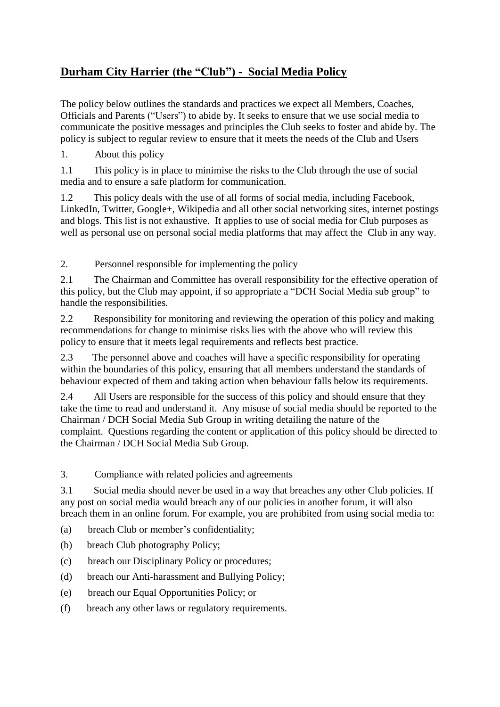# **Durham City Harrier (the "Club") - Social Media Policy**

The policy below outlines the standards and practices we expect all Members, Coaches, Officials and Parents ("Users") to abide by. It seeks to ensure that we use social media to communicate the positive messages and principles the Club seeks to foster and abide by. The policy is subject to regular review to ensure that it meets the needs of the Club and Users

1. About this policy

1.1 This policy is in place to minimise the risks to the Club through the use of social media and to ensure a safe platform for communication.

1.2 This policy deals with the use of all forms of social media, including Facebook, LinkedIn, Twitter, Google+, Wikipedia and all other social networking sites, internet postings and blogs. This list is not exhaustive. It applies to use of social media for Club purposes as well as personal use on personal social media platforms that may affect the Club in any way.

2. Personnel responsible for implementing the policy

2.1 The Chairman and Committee has overall responsibility for the effective operation of this policy, but the Club may appoint, if so appropriate a "DCH Social Media sub group" to handle the responsibilities.

2.2 Responsibility for monitoring and reviewing the operation of this policy and making recommendations for change to minimise risks lies with the above who will review this policy to ensure that it meets legal requirements and reflects best practice.

2.3 The personnel above and coaches will have a specific responsibility for operating within the boundaries of this policy, ensuring that all members understand the standards of behaviour expected of them and taking action when behaviour falls below its requirements.

2.4 All Users are responsible for the success of this policy and should ensure that they take the time to read and understand it. Any misuse of social media should be reported to the Chairman / DCH Social Media Sub Group in writing detailing the nature of the complaint. Questions regarding the content or application of this policy should be directed to the Chairman / DCH Social Media Sub Group.

3. Compliance with related policies and agreements

3.1 Social media should never be used in a way that breaches any other Club policies. If any post on social media would breach any of our policies in another forum, it will also breach them in an online forum. For example, you are prohibited from using social media to:

- (a) breach Club or member's confidentiality;
- (b) breach Club photography Policy;
- (c) breach our Disciplinary Policy or procedures;
- (d) breach our Anti-harassment and Bullying Policy;
- (e) breach our Equal Opportunities Policy; or
- (f) breach any other laws or regulatory requirements.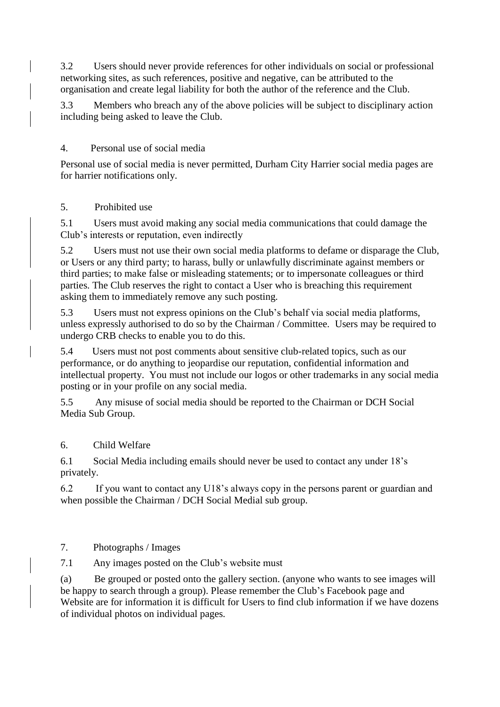3.2 Users should never provide references for other individuals on social or professional networking sites, as such references, positive and negative, can be attributed to the organisation and create legal liability for both the author of the reference and the Club.

3.3 Members who breach any of the above policies will be subject to disciplinary action including being asked to leave the Club.

## 4. Personal use of social media

Personal use of social media is never permitted, Durham City Harrier social media pages are for harrier notifications only.

### 5. Prohibited use

5.1 Users must avoid making any social media communications that could damage the Club's interests or reputation, even indirectly

5.2 Users must not use their own social media platforms to defame or disparage the Club, or Users or any third party; to harass, bully or unlawfully discriminate against members or third parties; to make false or misleading statements; or to impersonate colleagues or third parties. The Club reserves the right to contact a User who is breaching this requirement asking them to immediately remove any such posting.

5.3 Users must not express opinions on the Club's behalf via social media platforms, unless expressly authorised to do so by the Chairman / Committee. Users may be required to undergo CRB checks to enable you to do this.

5.4 Users must not post comments about sensitive club-related topics, such as our performance, or do anything to jeopardise our reputation, confidential information and intellectual property. You must not include our logos or other trademarks in any social media posting or in your profile on any social media.

5.5 Any misuse of social media should be reported to the Chairman or DCH Social Media Sub Group.

6. Child Welfare

6.1 Social Media including emails should never be used to contact any under 18's privately.

6.2 If you want to contact any U18's always copy in the persons parent or guardian and when possible the Chairman / DCH Social Medial sub group.

7. Photographs / Images

7.1 Any images posted on the Club's website must

(a) Be grouped or posted onto the gallery section. (anyone who wants to see images will be happy to search through a group). Please remember the Club's Facebook page and Website are for information it is difficult for Users to find club information if we have dozens of individual photos on individual pages.